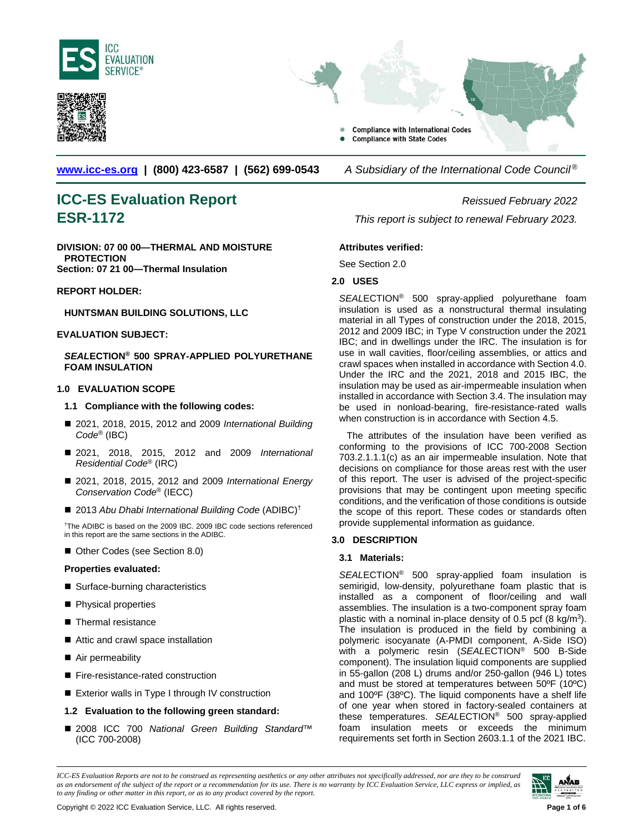



**Compliance with International Codes Compliance with State Codes** 

**[www.icc-es.org](http://www.icc-es.org/) | (800) 423-6587 | (562) 699-0543** *A Subsidiary of the International Code Council ®*

# **ICC-ES Evaluation Report** *Reissued February 2022*

**DIVISION: 07 00 00—THERMAL AND MOISTURE PROTECTION Section: 07 21 00—Thermal Insulation**

#### **REPORT HOLDER:**

**HUNTSMAN BUILDING SOLUTIONS, LLC**

#### **EVALUATION SUBJECT:**

#### *SEAL***ECTION® 500 SPRAY-APPLIED POLYURETHANE FOAM INSULATION**

#### **1.0 EVALUATION SCOPE**

#### **1.1 Compliance with the following codes:**

- 2021, 2018, 2015, 2012 and 2009 *International Building Code*® (IBC)
- 2021, 2018, 2015, 2012 and 2009 *International Residential Code*® (IRC)
- 2021, 2018, 2015, 2012 and 2009 *International Energy Conservation Code*® (IECC)
- 2013 Abu Dhabi International Building Code (ADIBC)<sup>†</sup>

† The ADIBC is based on the 2009 IBC. 2009 IBC code sections referenced in this report are the same sections in the ADIBC.

■ Other Codes (see Section 8.0)

#### **Properties evaluated:**

- Surface-burning characteristics
- **Physical properties**
- Thermal resistance
- Attic and crawl space installation
- Air permeability
- Fire-resistance-rated construction
- Exterior walls in Type I through IV construction
- **1.2 Evaluation to the following green standard:**
- 2008 ICC 700 National Green Building Standard<sup>™</sup> (ICC 700-2008)

**ESR-1172** *This report is subject to renewal February 2023.* 

#### **Attributes verified:**

See Section 2.0

#### **2.0 USES**

*SEAL*ECTION® 500 spray-applied polyurethane foam insulation is used as a nonstructural thermal insulating material in all Types of construction under the 2018, 2015, 2012 and 2009 IBC; in Type V construction under the 2021 IBC; and in dwellings under the IRC. The insulation is for use in wall cavities, floor/ceiling assemblies, or attics and crawl spaces when installed in accordance with Section 4.0. Under the IRC and the 2021, 2018 and 2015 IBC, the insulation may be used as air-impermeable insulation when installed in accordance with Section 3.4. The insulation may be used in nonload-bearing, fire-resistance-rated walls when construction is in accordance with Section 4.5.

The attributes of the insulation have been verified as conforming to the provisions of ICC 700-2008 Section 703.2.1.1.1(c) as an air impermeable insulation. Note that decisions on compliance for those areas rest with the user of this report. The user is advised of the project-specific provisions that may be contingent upon meeting specific conditions, and the verification of those conditions is outside the scope of this report. These codes or standards often provide supplemental information as guidance.

#### **3.0 DESCRIPTION**

#### **3.1 Materials:**

*SEAL*ECTION® 500 spray-applied foam insulation is semirigid, low-density, polyurethane foam plastic that is installed as a component of floor/ceiling and wall assemblies. The insulation is a two-component spray foam plastic with a nominal in-place density of 0.5 pcf (8 kg/m<sup>3</sup>). The insulation is produced in the field by combining a polymeric isocyanate (A-PMDI component, A-Side ISO) with a polymeric resin (*SEAL*ECTION® 500 B-Side component). The insulation liquid components are supplied in 55-gallon (208 L) drums and/or 250-gallon (946 L) totes and must be stored at temperatures between 50ºF (10ºC) and 100ºF (38ºC). The liquid components have a shelf life of one year when stored in factory-sealed containers at these temperatures. *SEAL*ECTION® 500 spray-applied foam insulation meets or exceeds the minimum requirements set forth in Section 2603.1.1 of the 2021 IBC.

*ICC-ES Evaluation Reports are not to be construed as representing aesthetics or any other attributes not specifically addressed, nor are they to be construed as an endorsement of the subject of the report or a recommendation for its use. There is no warranty by ICC Evaluation Service, LLC express or implied, as to any finding or other matter in this report, or as to any product covered by the report.*

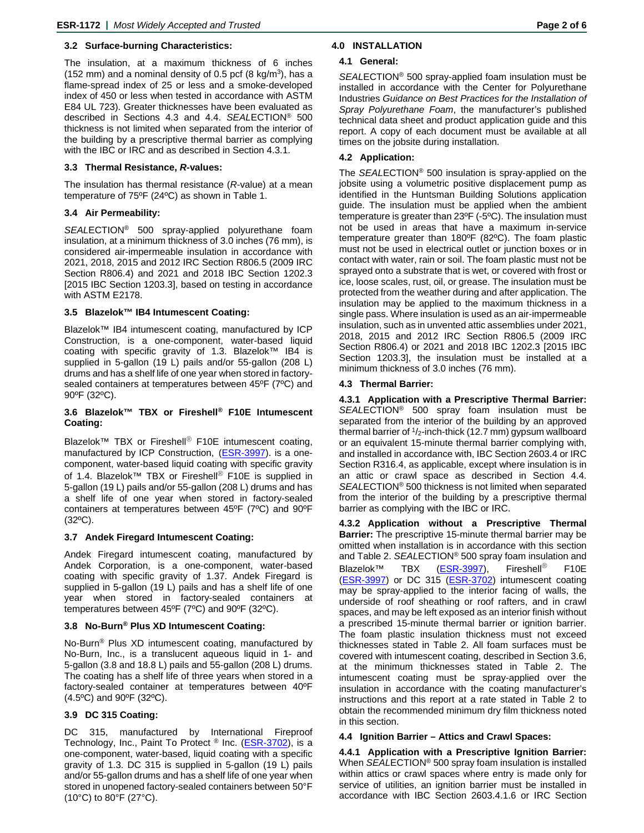#### **3.2 Surface-burning Characteristics:**

The insulation, at a maximum thickness of 6 inches (152 mm) and a nominal density of 0.5 pcf (8 kg/m<sup>3</sup>), has a flame-spread index of 25 or less and a smoke-developed index of 450 or less when tested in accordance with ASTM E84 UL 723). Greater thicknesses have been evaluated as described in Sections 4.3 and 4.4. *SEAL*ECTION® 500 thickness is not limited when separated from the interior of the building by a prescriptive thermal barrier as complying with the IBC or IRC and as described in Section 4.3.1.

#### **3.3 Thermal Resistance,** *R***-values:**

The insulation has thermal resistance (*R*-value) at a mean temperature of 75ºF (24ºC) as shown in Table 1.

#### **3.4 Air Permeability:**

*SEAL*ECTION® 500 spray-applied polyurethane foam insulation, at a minimum thickness of 3.0 inches (76 mm), is considered air-impermeable insulation in accordance with 2021, 2018, 2015 and 2012 IRC Section R806.5 (2009 IRC Section R806.4) and 2021 and 2018 IBC Section 1202.3 [2015 IBC Section 1203.3], based on testing in accordance with ASTM E2178.

#### **3.5 Blazelok™ IB4 Intumescent Coating:**

Blazelok™ IB4 intumescent coating, manufactured by ICP Construction, is a one-component, water-based liquid coating with specific gravity of 1.3. Blazelok™ IB4 is supplied in 5-gallon (19 L) pails and/or 55-gallon (208 L) drums and has a shelf life of one year when stored in factorysealed containers at temperatures between 45ºF (7ºC) and 90ºF (32ºC).

#### **3.6 Blazelok™ TBX or Fireshell® F10E Intumescent Coating:**

Blazelok™ TBX or Fireshell<sup>®</sup> F10E intumescent coating. manufactured by ICP Construction, [\(ESR-3997\)](http://www.icc-es.org/Reports/pdf_files/load_file.cfm?file_type=pdf&file_name=ESR-3997.pdf). is a onecomponent, water-based liquid coating with specific gravity of 1.4. Blazelok™ TBX or Fireshell<sup>®</sup> F10E is supplied in 5-gallon (19 L) pails and/or 55-gallon (208 L) drums and has a shelf life of one year when stored in factory-sealed containers at temperatures between 45ºF (7ºC) and 90ºF  $(32^{\circ}C).$ 

#### **3.7 Andek Firegard Intumescent Coating:**

Andek Firegard intumescent coating, manufactured by Andek Corporation, is a one-component, water-based coating with specific gravity of 1.37. Andek Firegard is supplied in 5-gallon (19 L) pails and has a shelf life of one year when stored in factory-sealed containers at temperatures between 45ºF (7ºC) and 90ºF (32ºC).

#### **3.8 No-Burn® Plus XD Intumescent Coating:**

No-Burn® Plus XD intumescent coating, manufactured by No-Burn, Inc., is a translucent aqueous liquid in 1- and 5-gallon (3.8 and 18.8 L) pails and 55-gallon (208 L) drums. The coating has a shelf life of three years when stored in a factory-sealed container at temperatures between 40ºF (4.5ºC) and 90ºF (32ºC).

#### **3.9 DC 315 Coating:**

DC 315, manufactured by International Fireproof Technology, Inc., Paint To Protect <sup>®</sup> Inc. [\(ESR-3702\)](http://www.icc-es.org/Reports/pdf_files/load_file.cfm?file_type=pdf&file_name=ESR-3702.pdf), is a one-component, water-based, liquid coating with a specific gravity of 1.3. DC 315 is supplied in 5-gallon (19 L) pails and/or 55-gallon drums and has a shelf life of one year when stored in unopened factory-sealed containers between 50°F (10°C) to 80°F (27°C).

#### **4.0 INSTALLATION**

#### **4.1 General:**

*SEAL*ECTION® 500 spray-applied foam insulation must be installed in accordance with the Center for Polyurethane Industries *Guidance on Best Practices for the Installation of Spray Polyurethane Foam*, the manufacturer's published technical data sheet and product application guide and this report. A copy of each document must be available at all times on the jobsite during installation.

#### **4.2 Application:**

The *SEAL*ECTION® 500 insulation is spray-applied on the jobsite using a volumetric positive displacement pump as identified in the Huntsman Building Solutions application guide. The insulation must be applied when the ambient temperature is greater than 23ºF (-5ºC). The insulation must not be used in areas that have a maximum in-service temperature greater than 180ºF (82ºC). The foam plastic must not be used in electrical outlet or junction boxes or in contact with water, rain or soil. The foam plastic must not be sprayed onto a substrate that is wet, or covered with frost or ice, loose scales, rust, oil, or grease. The insulation must be protected from the weather during and after application. The insulation may be applied to the maximum thickness in a single pass. Where insulation is used as an air-impermeable insulation, such as in unvented attic assemblies under 2021, 2018, 2015 and 2012 IRC Section R806.5 (2009 IRC Section R806.4) or 2021 and 2018 IBC 1202.3 [2015 IBC Section 1203.3], the insulation must be installed at a minimum thickness of 3.0 inches (76 mm).

#### **4.3 Thermal Barrier:**

**4.3.1 Application with a Prescriptive Thermal Barrier:**  *SEAL*ECTION® 500 spray foam insulation must be separated from the interior of the building by an approved thermal barrier of  $1/2$ -inch-thick (12.7 mm) gypsum wallboard or an equivalent 15-minute thermal barrier complying with, and installed in accordance with, IBC Section 2603.4 or IRC Section R316.4, as applicable, except where insulation is in an attic or crawl space as described in Section 4.4. *SEAL*ECTION® 500 thickness is not limited when separated from the interior of the building by a prescriptive thermal barrier as complying with the IBC or IRC.

**4.3.2 Application without a Prescriptive Thermal Barrier:** The prescriptive 15-minute thermal barrier may be omitted when installation is in accordance with this section and Table 2. *SEAL*ECTION® 500 spray foam insulation and Blazelok™ TBX [\(ESR-3997\)](http://www.icc-es.org/Reports/pdf_files/load_file.cfm?file_type=pdf&file_name=ESR-3997.pdf), Fireshell® F10E [\(ESR-3997\)](http://www.icc-es.org/Reports/pdf_files/load_file.cfm?file_type=pdf&file_name=ESR-3997.pdf) or DC 315 [\(ESR-3702\)](http://www.icc-es.org/Reports/pdf_files/load_file.cfm?file_type=pdf&file_name=ESR-3702.pdf) intumescent coating may be spray-applied to the interior facing of walls, the underside of roof sheathing or roof rafters, and in crawl spaces, and may be left exposed as an interior finish without a prescribed 15-minute thermal barrier or ignition barrier. The foam plastic insulation thickness must not exceed thicknesses stated in Table 2. All foam surfaces must be covered with intumescent coating, described in Section 3.6, at the minimum thicknesses stated in Table 2. The intumescent coating must be spray-applied over the insulation in accordance with the coating manufacturer's instructions and this report at a rate stated in Table 2 to obtain the recommended minimum dry film thickness noted in this section.

#### **4.4 Ignition Barrier – Attics and Crawl Spaces:**

**4.4.1 Application with a Prescriptive Ignition Barrier:**  When *SEAL*ECTION® 500 spray foam insulation is installed within attics or crawl spaces where entry is made only for service of utilities, an ignition barrier must be installed in accordance with IBC Section 2603.4.1.6 or IRC Section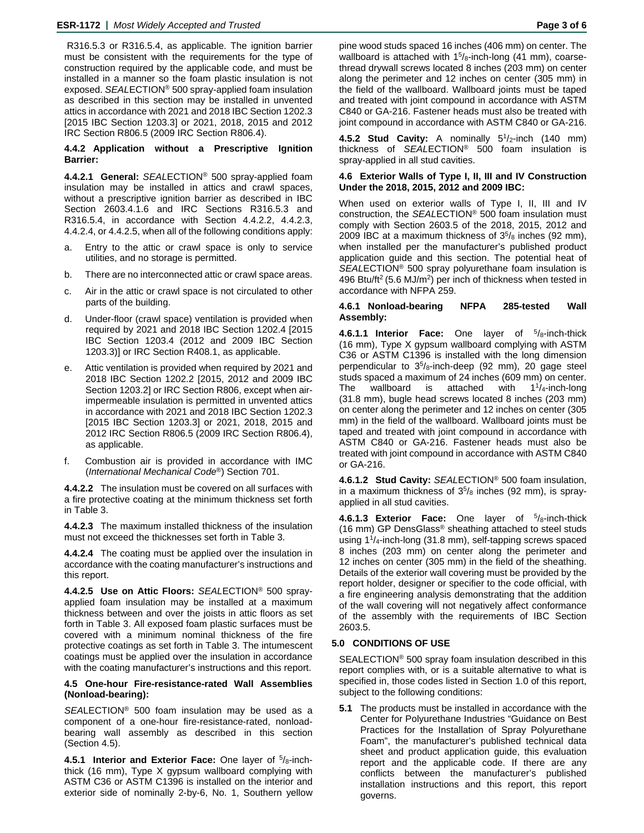R316.5.3 or R316.5.4, as applicable. The ignition barrier must be consistent with the requirements for the type of construction required by the applicable code, and must be installed in a manner so the foam plastic insulation is not exposed. *SEAL*ECTION® 500 spray-applied foam insulation as described in this section may be installed in unvented attics in accordance with 2021 and 2018 IBC Section 1202.3 [2015 IBC Section 1203.3] or 2021, 2018, 2015 and 2012 IRC Section R806.5 (2009 IRC Section R806.4).

#### **4.4.2 Application without a Prescriptive Ignition Barrier:**

**4.4.2.1 General:** *SEAL*ECTION® 500 spray-applied foam insulation may be installed in attics and crawl spaces, without a prescriptive ignition barrier as described in IBC Section 2603.4.1.6 and IRC Sections R316.5.3 and R316.5.4, in accordance with Section 4.4.2.2, 4.4.2.3, 4.4.2.4, or 4.4.2.5, when all of the following conditions apply:

- a. Entry to the attic or crawl space is only to service utilities, and no storage is permitted.
- b. There are no interconnected attic or crawl space areas.
- c. Air in the attic or crawl space is not circulated to other parts of the building.
- d. Under-floor (crawl space) ventilation is provided when required by 2021 and 2018 IBC Section 1202.4 [2015 IBC Section 1203.4 (2012 and 2009 IBC Section 1203.3)] or IRC Section R408.1, as applicable.
- e. Attic ventilation is provided when required by 2021 and 2018 IBC Section 1202.2 [2015, 2012 and 2009 IBC Section 1203.2] or IRC Section R806, except when airimpermeable insulation is permitted in unvented attics in accordance with 2021 and 2018 IBC Section 1202.3 [2015 IBC Section 1203.3] or 2021, 2018, 2015 and 2012 IRC Section R806.5 (2009 IRC Section R806.4), as applicable.
- f. Combustion air is provided in accordance with IMC (*International Mechanical Code*®) Section 701.

**4.4.2.2** The insulation must be covered on all surfaces with a fire protective coating at the minimum thickness set forth in Table 3.

**4.4.2.3** The maximum installed thickness of the insulation must not exceed the thicknesses set forth in Table 3.

**4.4.2.4** The coating must be applied over the insulation in accordance with the coating manufacturer's instructions and this report.

**4.4.2.5 Use on Attic Floors:** *SEAL*ECTION® 500 sprayapplied foam insulation may be installed at a maximum thickness between and over the joists in attic floors as set forth in Table 3. All exposed foam plastic surfaces must be covered with a minimum nominal thickness of the fire protective coatings as set forth in Table 3. The intumescent coatings must be applied over the insulation in accordance with the coating manufacturer's instructions and this report.

#### **4.5 One-hour Fire-resistance-rated Wall Assemblies (Nonload-bearing):**

*SEA*LECTION® 500 foam insulation may be used as a component of a one-hour fire-resistance-rated, nonloadbearing wall assembly as described in this section (Section 4.5).

**4.5.1 Interior and Exterior Face:** One layer of 5/8-inchthick (16 mm), Type X gypsum wallboard complying with ASTM C36 or ASTM C1396 is installed on the interior and exterior side of nominally 2-by-6, No. 1, Southern yellow

pine wood studs spaced 16 inches (406 mm) on center. The wallboard is attached with  $15\frac{\text{h}}{\text{h}}$ -inch-long (41 mm), coarsethread drywall screws located 8 inches (203 mm) on center along the perimeter and 12 inches on center (305 mm) in the field of the wallboard. Wallboard joints must be taped and treated with joint compound in accordance with ASTM C840 or GA-216. Fastener heads must also be treated with joint compound in accordance with ASTM C840 or GA-216.

4.5.2 Stud Cavity: A nominally 5<sup>1</sup>/<sub>2</sub>-inch (140 mm) thickness of *SEAL*ECTION® 500 foam insulation is spray-applied in all stud cavities.

#### **4.6 Exterior Walls of Type I, II, III and IV Construction Under the 2018, 2015, 2012 and 2009 IBC:**

When used on exterior walls of Type I, II, III and IV construction, the *SEAL*ECTION® 500 foam insulation must comply with Section 2603.5 of the 2018, 2015, 2012 and 2009 IBC at a maximum thickness of  $3<sup>5</sup>/8$  inches (92 mm), when installed per the manufacturer's published product application guide and this section. The potential heat of *SEAL*ECTION® 500 spray polyurethane foam insulation is 496 Btu/ft<sup>2</sup> (5.6 MJ/m<sup>2</sup>) per inch of thickness when tested in accordance with NFPA 259.

#### **4.6.1 Nonload-bearing NFPA 285-tested Wall Assembly:**

**4.6.1.1 Interior Face:** One layer of <sup>5</sup>/8-inch-thick (16 mm), Type X gypsum wallboard complying with ASTM C36 or ASTM C1396 is installed with the long dimension perpendicular to  $3<sup>5</sup>/8$ -inch-deep (92 mm), 20 gage steel studs spaced a maximum of 24 inches (609 mm) on center. The wallboard is attached with  $1^{1}/_{4}$ -inch-long (31.8 mm), bugle head screws located 8 inches (203 mm) on center along the perimeter and 12 inches on center (305 mm) in the field of the wallboard. Wallboard joints must be taped and treated with joint compound in accordance with ASTM C840 or GA-216. Fastener heads must also be treated with joint compound in accordance with ASTM C840 or GA-216.

**4.6.1.2 Stud Cavity:** *SEAL*ECTION® 500 foam insulation, in a maximum thickness of  $3<sup>5</sup>/8$  inches (92 mm), is sprayapplied in all stud cavities.

**4.6.1.3 Exterior Face:** One layer of 5/8-inch-thick (16 mm) GP DensGlass® sheathing attached to steel studs using 11/4-inch-long (31.8 mm), self-tapping screws spaced 8 inches (203 mm) on center along the perimeter and 12 inches on center (305 mm) in the field of the sheathing. Details of the exterior wall covering must be provided by the report holder, designer or specifier to the code official, with a fire engineering analysis demonstrating that the addition of the wall covering will not negatively affect conformance of the assembly with the requirements of IBC Section 2603.5.

### **5.0 CONDITIONS OF USE**

SEALECTION® 500 spray foam insulation described in this report complies with, or is a suitable alternative to what is specified in, those codes listed in Section 1.0 of this report, subject to the following conditions:

**5.1** The products must be installed in accordance with the Center for Polyurethane Industries "Guidance on Best Practices for the Installation of Spray Polyurethane Foam", the manufacturer's published technical data sheet and product application guide, this evaluation report and the applicable code. If there are any conflicts between the manufacturer's published installation instructions and this report, this report governs.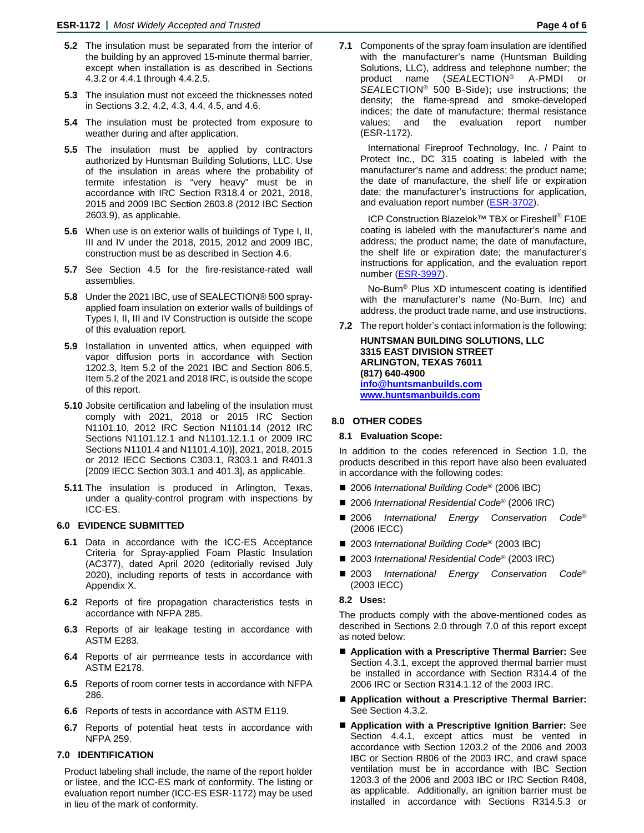- **5.2** The insulation must be separated from the interior of the building by an approved 15-minute thermal barrier, except when installation is as described in Sections 4.3.2 or 4.4.1 through 4.4.2.5.
- **5.3** The insulation must not exceed the thicknesses noted in Sections 3.2, 4.2, 4.3, 4.4, 4.5, and 4.6.
- **5.4** The insulation must be protected from exposure to weather during and after application.
- **5.5** The insulation must be applied by contractors authorized by Huntsman Building Solutions, LLC. Use of the insulation in areas where the probability of termite infestation is "very heavy" must be in accordance with IRC Section R318.4 or 2021, 2018, 2015 and 2009 IBC Section 2603.8 (2012 IBC Section 2603.9), as applicable.
- **5.6** When use is on exterior walls of buildings of Type I, II, III and IV under the 2018, 2015, 2012 and 2009 IBC, construction must be as described in Section 4.6.
- **5.7** See Section 4.5 for the fire-resistance-rated wall assemblies.
- **5.8** Under the 2021 IBC, use of SEALECTION® 500 sprayapplied foam insulation on exterior walls of buildings of Types I, II, III and IV Construction is outside the scope of this evaluation report.
- **5.9** Installation in unvented attics, when equipped with vapor diffusion ports in accordance with Section 1202.3, Item 5.2 of the 2021 IBC and Section 806.5, Item 5.2 of the 2021 and 2018 IRC, is outside the scope of this report.
- **5.10** Jobsite certification and labeling of the insulation must comply with 2021, 2018 or 2015 IRC Section N1101.10, 2012 IRC Section N1101.14 (2012 IRC Sections N1101.12.1 and N1101.12.1.1 or 2009 IRC Sections N1101.4 and N1101.4.10)], 2021, 2018, 2015 or 2012 IECC Sections C303.1, R303.1 and R401.3 [2009 IECC Section 303.1 and 401.3], as applicable.
- **5.11** The insulation is produced in Arlington, Texas, under a quality-control program with inspections by ICC-ES.

#### **6.0 EVIDENCE SUBMITTED**

- **6.1** Data in accordance with the ICC-ES Acceptance Criteria for Spray-applied Foam Plastic Insulation (AC377), dated April 2020 (editorially revised July 2020), including reports of tests in accordance with Appendix X.
- **6.2** Reports of fire propagation characteristics tests in accordance with NFPA 285.
- **6.3** Reports of air leakage testing in accordance with ASTM E283.
- **6.4** Reports of air permeance tests in accordance with ASTM E2178.
- **6.5** Reports of room corner tests in accordance with NFPA 286.
- **6.6** Reports of tests in accordance with ASTM E119.
- **6.7** Reports of potential heat tests in accordance with NFPA 259.

#### **7.0 IDENTIFICATION**

Product labeling shall include, the name of the report holder or listee, and the ICC-ES mark of conformity. The listing or evaluation report number (ICC-ES ESR-1172) may be used in lieu of the mark of conformity.

**7.1** Components of the spray foam insulation are identified with the manufacturer's name (Huntsman Building Solutions, LLC), address and telephone number; the product name (*SEAL*ECTION® A-PMDI or *SEAL*ECTION® 500 B-Side); use instructions; the density; the flame-spread and smoke-developed indices; the date of manufacture; thermal resistance values; and the evaluation report number (ESR-1172).

International Fireproof Technology, Inc. / Paint to Protect Inc., DC 315 coating is labeled with the manufacturer's name and address; the product name; the date of manufacture, the shelf life or expiration date; the manufacturer's instructions for application, and evaluation report number [\(ESR-3702\)](http://www.icc-es.org/Reports/pdf_files/load_file.cfm?file_type=pdf&file_name=ESR-3702.pdf).

ICP Construction Blazelok™ TBX or Fireshell® F10E coating is labeled with the manufacturer's name and address; the product name; the date of manufacture, the shelf life or expiration date; the manufacturer's instructions for application, and the evaluation report number [\(ESR-3997\)](http://www.icc-es.org/Reports/pdf_files/load_file.cfm?file_type=pdf&file_name=ESR-3997.pdf).

No-Burn® Plus XD intumescent coating is identified with the manufacturer's name (No-Burn, Inc) and address, the product trade name, and use instructions.

**7.2** The report holder's contact information is the following:

**HUNTSMAN BUILDING SOLUTIONS, LLC 3315 EAST DIVISION STREET ARLINGTON, TEXAS 76011 (817) 640-4900 [info@huntsmanbuilds.com](mailto:info@huntsmanbuilds.com) [www.huntsmanbuilds.com](http://www.huntsmanbuilds.com/)**

#### **8.0 OTHER CODES**

#### **8.1 Evaluation Scope:**

In addition to the codes referenced in Section 1.0, the products described in this report have also been evaluated in accordance with the following codes:

- 2006 *International Building Code®* (2006 IBC)
- 2006 *International Residential Code<sup>®</sup>* (2006 IRC)
- 2006 *International Energy Conservation Code*<sup>®</sup> (2006 IECC)
- 2003 *International Building Code<sup>®</sup> (2003 IBC)*
- 2003 *International Residential Code®* (2003 IRC)
- 2003 *International Energy Conservation Code*<sup>®</sup> (2003 IECC)

#### **8.2 Uses:**

The products comply with the above-mentioned codes as described in Sections 2.0 through 7.0 of this report except as noted below:

- **Application with a Prescriptive Thermal Barrier:** See Section 4.3.1, except the approved thermal barrier must be installed in accordance with Section R314.4 of the 2006 IRC or Section R314.1.12 of the 2003 IRC.
- **Application without a Prescriptive Thermal Barrier:** See Section 4.3.2.
- **Application with a Prescriptive Ignition Barrier:** See Section 4.4.1, except attics must be vented in accordance with Section 1203.2 of the 2006 and 2003 IBC or Section R806 of the 2003 IRC, and crawl space ventilation must be in accordance with IBC Section 1203.3 of the 2006 and 2003 IBC or IRC Section R408, as applicable. Additionally, an ignition barrier must be installed in accordance with Sections R314.5.3 or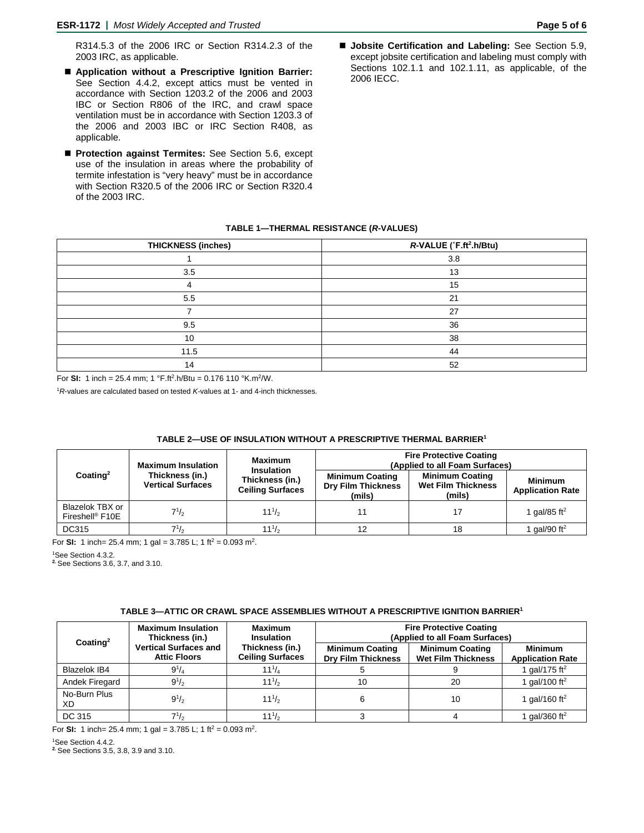R314.5.3 of the 2006 IRC or Section R314.2.3 of the 2003 IRC, as applicable.

- **Application without a Prescriptive Ignition Barrier:** See Section 4.4.2, except attics must be vented in accordance with Section 1203.2 of the 2006 and 2003 IBC or Section R806 of the IRC, and crawl space ventilation must be in accordance with Section 1203.3 of the 2006 and 2003 IBC or IRC Section R408, as applicable.
- **Protection against Termites:** See Section 5.6, except use of the insulation in areas where the probability of termite infestation is "very heavy" must be in accordance with Section R320.5 of the 2006 IRC or Section R320.4 of the 2003 IRC.
- **Jobsite Certification and Labeling:** See Section 5.9, except jobsite certification and labeling must comply with Sections 102.1.1 and 102.1.11, as applicable, of the 2006 IECC.

#### **TABLE 1—THERMAL RESISTANCE (***R***-VALUES)**

| <b>THICKNESS (inches)</b> | R-VALUE (°F.ft <sup>2</sup> .h/Btu) |
|---------------------------|-------------------------------------|
|                           | 3.8                                 |
| 3.5                       | 13                                  |
|                           | 15                                  |
| 5.5                       | 21                                  |
|                           | 27                                  |
| 9.5                       | 36                                  |
| 10                        | 38                                  |
| 11.5                      | 44                                  |
| 14                        | 52                                  |

For **SI:** 1 inch = 25.4 mm; 1 °F.ft2.h/Btu = 0.176 110 °K.m2/W.

<sup>1</sup>*R*-values are calculated based on tested *K-*values at 1- and 4-inch thicknesses.

#### **TABLE 2—USE OF INSULATION WITHOUT A PRESCRIPTIVE THERMAL BARRIER1**

| $\text{Coating}^2$                             | <b>Maximum Insulation</b><br>Thickness (in.)<br><b>Vertical Surfaces</b> | <b>Maximum</b><br><b>Insulation</b><br>Thickness (in.)<br><b>Ceiling Surfaces</b> | <b>Fire Protective Coating</b><br>(Applied to all Foam Surfaces) |                                                               |                                           |
|------------------------------------------------|--------------------------------------------------------------------------|-----------------------------------------------------------------------------------|------------------------------------------------------------------|---------------------------------------------------------------|-------------------------------------------|
|                                                |                                                                          |                                                                                   | <b>Minimum Coating</b><br><b>Dry Film Thickness</b><br>(mils)    | <b>Minimum Coating</b><br><b>Wet Film Thickness</b><br>(mils) | <b>Minimum</b><br><b>Application Rate</b> |
| Blazelok TBX or<br>Fireshell <sup>®</sup> F10E | $7^{1/2}$                                                                | $11^{1/2}$                                                                        |                                                                  |                                                               | 1 gal/85 ft <sup>2</sup>                  |
| <b>DC315</b>                                   | $7^{1/2}$                                                                | $11^{1/2}$                                                                        | 12                                                               | 18                                                            | 1 gal/90 ft <sup>2</sup>                  |

For **SI:** 1 inch= 25.4 mm; 1 gal = 3.785 L; 1 ft<sup>2</sup> = 0.093 m<sup>2</sup>.

1 See Section 4.3.2.

**2.** See Sections 3.6, 3.7, and 3.10.

#### **TABLE 3—ATTIC OR CRAWL SPACE ASSEMBLIES WITHOUT A PRESCRIPTIVE IGNITION BARRIER1**

| Coating <sup>2</sup> | <b>Maximum Insulation</b><br>Thickness (in.)<br><b>Vertical Surfaces and</b><br><b>Attic Floors</b> | Maximum<br><b>Insulation</b><br>Thickness (in.)<br><b>Ceiling Surfaces</b> | <b>Fire Protective Coating</b><br>(Applied to all Foam Surfaces) |                                                     |                                           |
|----------------------|-----------------------------------------------------------------------------------------------------|----------------------------------------------------------------------------|------------------------------------------------------------------|-----------------------------------------------------|-------------------------------------------|
|                      |                                                                                                     |                                                                            | <b>Minimum Coating</b><br><b>Dry Film Thickness</b>              | <b>Minimum Coating</b><br><b>Wet Film Thickness</b> | <b>Minimum</b><br><b>Application Rate</b> |
| <b>Blazelok IB4</b>  | $9^{1}/_{4}$                                                                                        | $11^{1}/_{4}$                                                              |                                                                  |                                                     | 1 gal/175 ft <sup>2</sup>                 |
| Andek Firegard       | $9^{1/2}$                                                                                           | $11^{1/2}$                                                                 | 10                                                               | 20                                                  | I gal/100 ft <sup>2</sup>                 |
| No-Burn Plus<br>XD.  | $9^{1/2}$                                                                                           | $11^{1/2}$                                                                 |                                                                  | 10                                                  | 1 gal/160 ft <sup>2</sup>                 |
| DC 315               | $7^{1/2}$                                                                                           | $11^{1/2}$                                                                 |                                                                  |                                                     | $qal/360$ ft <sup>2</sup>                 |

For **SI:** 1 inch= 25.4 mm; 1 gal = 3.785 L; 1 ft<sup>2</sup> = 0.093 m<sup>2</sup>.

1 See Section 4.4.2.

**2.** See Sections 3.5, 3.8, 3.9 and 3.10.